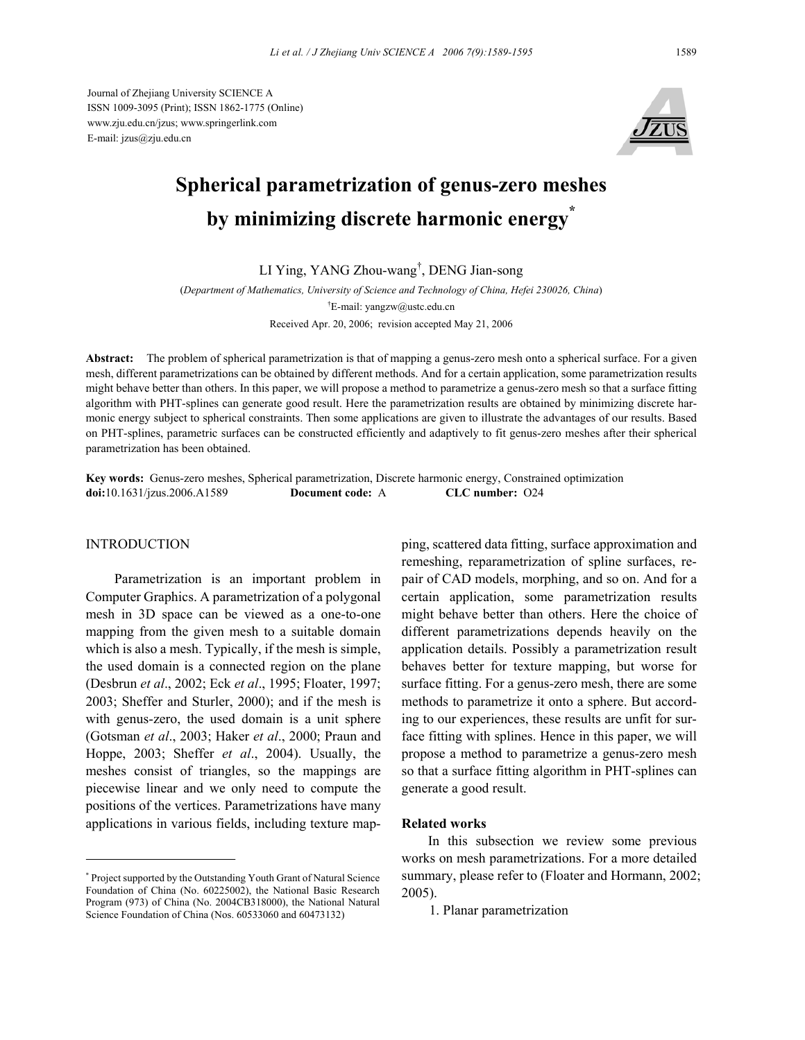Journal of Zhejiang University SCIENCE A ISSN 1009-3095 (Print); ISSN 1862-1775 (Online) www.zju.edu.cn/jzus; www.springerlink.com E-mail: jzus@zju.edu.cn



# **Spherical parametrization of genus-zero meshes by minimizing discrete harmonic energy\***

LI Ying, YANG Zhou-wang† , DENG Jian-song

(*Department of Mathematics, University of Science and Technology of China, Hefei 230026, China*) <sup>†</sup>E-mail: yangzw@ustc.edu.cn Received Apr. 20, 2006; revision accepted May 21, 2006

**Abstract:** The problem of spherical parametrization is that of mapping a genus-zero mesh onto a spherical surface. For a given mesh, different parametrizations can be obtained by different methods. And for a certain application, some parametrization results might behave better than others. In this paper, we will propose a method to parametrize a genus-zero mesh so that a surface fitting algorithm with PHT-splines can generate good result. Here the parametrization results are obtained by minimizing discrete harmonic energy subject to spherical constraints. Then some applications are given to illustrate the advantages of our results. Based on PHT-splines, parametric surfaces can be constructed efficiently and adaptively to fit genus-zero meshes after their spherical parametrization has been obtained.

**Key words:** Genus-zero meshes, Spherical parametrization, Discrete harmonic energy, Constrained optimization **doi:**10.1631/jzus.2006.A1589 **Document code:** A **CLC number:** O24

## INTRODUCTION

Parametrization is an important problem in Computer Graphics. A parametrization of a polygonal mesh in 3D space can be viewed as a one-to-one mapping from the given mesh to a suitable domain which is also a mesh. Typically, if the mesh is simple, the used domain is a connected region on the plane (Desbrun *et al*., 2002; Eck *et al*., 1995; Floater, 1997; 2003; Sheffer and Sturler, 2000); and if the mesh is with genus-zero, the used domain is a unit sphere (Gotsman *et al*., 2003; Haker *et al*., 2000; Praun and Hoppe, 2003; Sheffer *et al*., 2004). Usually, the meshes consist of triangles, so the mappings are piecewise linear and we only need to compute the positions of the vertices. Parametrizations have many applications in various fields, including texture mapping, scattered data fitting, surface approximation and remeshing, reparametrization of spline surfaces, repair of CAD models, morphing, and so on. And for a certain application, some parametrization results might behave better than others. Here the choice of different parametrizations depends heavily on the application details. Possibly a parametrization result behaves better for texture mapping, but worse for surface fitting. For a genus-zero mesh, there are some methods to parametrize it onto a sphere. But according to our experiences, these results are unfit for surface fitting with splines. Hence in this paper, we will propose a method to parametrize a genus-zero mesh so that a surface fitting algorithm in PHT-splines can generate a good result.

## **Related works**

In this subsection we review some previous works on mesh parametrizations. For a more detailed summary, please refer to (Floater and Hormann, 2002; 2005).

1. Planar parametrization

<sup>\*</sup> Project supported by the Outstanding Youth Grant of Natural Science Foundation of China (No. 60225002), the National Basic Research Program (973) of China (No. 2004CB318000), the National Natural Science Foundation of China (Nos. 60533060 and 60473132)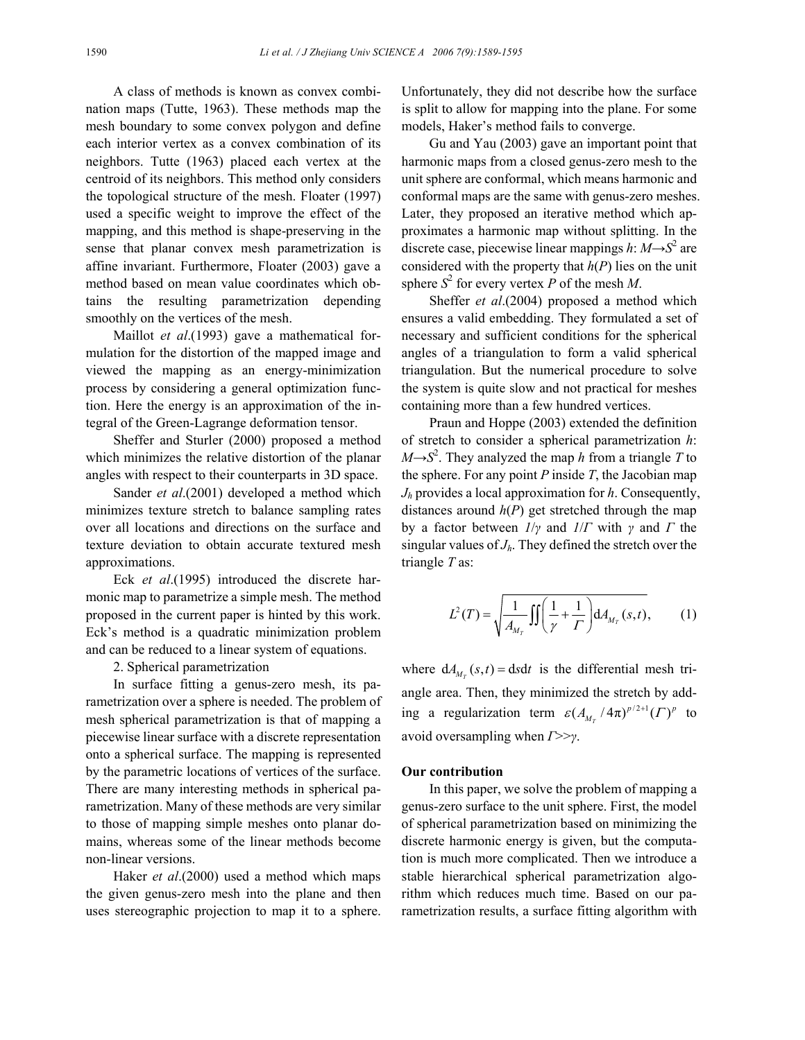A class of methods is known as convex combination maps (Tutte, 1963). These methods map the mesh boundary to some convex polygon and define each interior vertex as a convex combination of its neighbors. Tutte (1963) placed each vertex at the centroid of its neighbors. This method only considers the topological structure of the mesh. Floater (1997) used a specific weight to improve the effect of the mapping, and this method is shape-preserving in the sense that planar convex mesh parametrization is affine invariant. Furthermore, Floater (2003) gave a method based on mean value coordinates which obtains the resulting parametrization depending smoothly on the vertices of the mesh.

Maillot *et al*.(1993) gave a mathematical formulation for the distortion of the mapped image and viewed the mapping as an energy-minimization process by considering a general optimization function. Here the energy is an approximation of the integral of the Green-Lagrange deformation tensor.

Sheffer and Sturler (2000) proposed a method which minimizes the relative distortion of the planar angles with respect to their counterparts in 3D space.

Sander *et al*.(2001) developed a method which minimizes texture stretch to balance sampling rates over all locations and directions on the surface and texture deviation to obtain accurate textured mesh approximations.

Eck *et al*.(1995) introduced the discrete harmonic map to parametrize a simple mesh. The method proposed in the current paper is hinted by this work. Eck's method is a quadratic minimization problem and can be reduced to a linear system of equations.

2. Spherical parametrization

In surface fitting a genus-zero mesh, its parametrization over a sphere is needed. The problem of mesh spherical parametrization is that of mapping a piecewise linear surface with a discrete representation onto a spherical surface. The mapping is represented by the parametric locations of vertices of the surface. There are many interesting methods in spherical parametrization. Many of these methods are very similar to those of mapping simple meshes onto planar domains, whereas some of the linear methods become non-linear versions.

Haker *et al*.(2000) used a method which maps the given genus-zero mesh into the plane and then uses stereographic projection to map it to a sphere. Unfortunately, they did not describe how the surface is split to allow for mapping into the plane. For some models, Haker's method fails to converge.

Gu and Yau (2003) gave an important point that harmonic maps from a closed genus-zero mesh to the unit sphere are conformal, which means harmonic and conformal maps are the same with genus-zero meshes. Later, they proposed an iterative method which approximates a harmonic map without splitting. In the discrete case, piecewise linear mappings  $h: M \rightarrow S^2$  are considered with the property that  $h(P)$  lies on the unit sphere  $S^2$  for every vertex *P* of the mesh *M*.

Sheffer *et al*.(2004) proposed a method which ensures a valid embedding. They formulated a set of necessary and sufficient conditions for the spherical angles of a triangulation to form a valid spherical triangulation. But the numerical procedure to solve the system is quite slow and not practical for meshes containing more than a few hundred vertices.

Praun and Hoppe (2003) extended the definition of stretch to consider a spherical parametrization *h*:  $M \rightarrow S^2$ . They analyzed the map *h* from a triangle *T* to the sphere. For any point *P* inside *T*, the Jacobian map *Jh* provides a local approximation for *h*. Consequently, distances around *h*(*P*) get stretched through the map by a factor between *1*/*γ* and *1*/*Γ* with *γ* and *Γ* the singular values of  $J<sub>h</sub>$ . They defined the stretch over the triangle *T* as:

$$
L^{2}(T) = \sqrt{\frac{1}{A_{M_{T}}}\iint \left(\frac{1}{\gamma} + \frac{1}{\Gamma}\right) dA_{M_{T}}(s,t)},
$$
 (1)

where  $dA_{M_T}(s,t) = dsdt$  is the differential mesh triangle area. Then, they minimized the stretch by adding a regularization term  $\varepsilon (A_{M_T}/4\pi)^{p/2+1} (\Gamma)^p$  to avoid oversampling when *Γ*>>*γ*.

## **Our contribution**

In this paper, we solve the problem of mapping a genus-zero surface to the unit sphere. First, the model of spherical parametrization based on minimizing the discrete harmonic energy is given, but the computation is much more complicated. Then we introduce a stable hierarchical spherical parametrization algorithm which reduces much time. Based on our parametrization results, a surface fitting algorithm with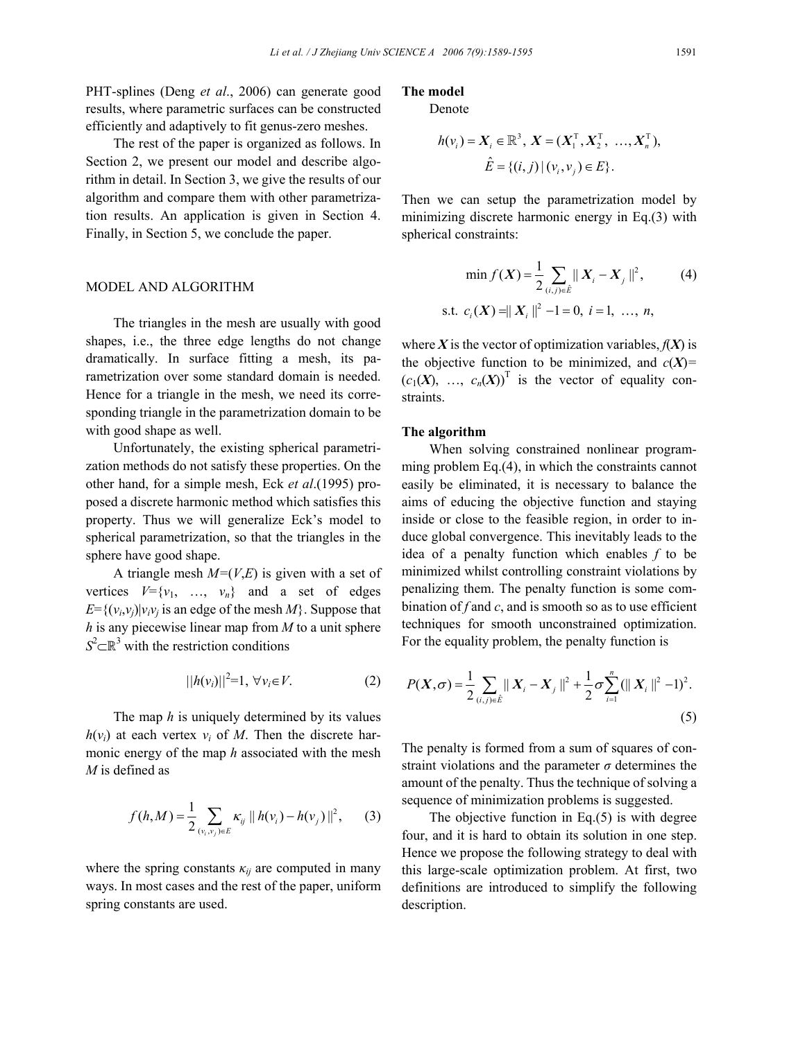PHT-splines (Deng *et al*., 2006) can generate good results, where parametric surfaces can be constructed efficiently and adaptively to fit genus-zero meshes.

The rest of the paper is organized as follows. In Section 2, we present our model and describe algorithm in detail. In Section 3, we give the results of our algorithm and compare them with other parametrization results. An application is given in Section 4. Finally, in Section 5, we conclude the paper.

## MODEL AND ALGORITHM

The triangles in the mesh are usually with good shapes, i.e., the three edge lengths do not change dramatically. In surface fitting a mesh, its parametrization over some standard domain is needed. Hence for a triangle in the mesh, we need its corresponding triangle in the parametrization domain to be with good shape as well.

Unfortunately, the existing spherical parametrization methods do not satisfy these properties. On the other hand, for a simple mesh, Eck *et al*.(1995) proposed a discrete harmonic method which satisfies this property. Thus we will generalize Eck's model to spherical parametrization, so that the triangles in the sphere have good shape.

A triangle mesh *M=*(*V*,*E*) is given with a set of vertices  $V = \{v_1, \ldots, v_n\}$  and a set of edges  $E=\{(v_i,v_j)|v_iv_j\}$  is an edge of the mesh  $M\}$ . Suppose that *h* is any piecewise linear map from *M* to a unit sphere  $S^2 \subset \mathbb{R}^3$  with the restriction conditions

$$
||h(v_i)||^2 = 1, \,\forall v_i \in V. \tag{2}
$$

The map *h* is uniquely determined by its values  $h(v_i)$  at each vertex  $v_i$  of M. Then the discrete harmonic energy of the map *h* associated with the mesh *M* is defined as

$$
f(h,M) = \frac{1}{2} \sum_{(v_i,v_j) \in E} \kappa_{ij} \| h(v_i) - h(v_j) \|^2, \qquad (3)
$$

where the spring constants  $\kappa_{ii}$  are computed in many ways. In most cases and the rest of the paper, uniform spring constants are used.

## **The model**

Denote

$$
h(v_i) = X_i \in \mathbb{R}^3, X = (X_1^{\mathrm{T}}, X_2^{\mathrm{T}}, \dots, X_n^{\mathrm{T}}),
$$
  

$$
\hat{E} = \{(i, j) | (v_i, v_j) \in E\}.
$$

Then we can setup the parametrization model by minimizing discrete harmonic energy in Eq.(3) with spherical constraints:

$$
\min f(X) = \frac{1}{2} \sum_{(i,j)\in \hat{E}} \|X_i - X_j\|^2, \tag{4}
$$
  
s.t.  $c_i(X) = \|X_i\|^2 - 1 = 0, i = 1, ..., n,$ 

where  $X$  is the vector of optimization variables,  $f(X)$  is the objective function to be minimized, and  $c(X)$ =  $(c_1(X), ..., c_n(X))^T$  is the vector of equality constraints.

# **The algorithm**

When solving constrained nonlinear programming problem Eq.(4), in which the constraints cannot easily be eliminated, it is necessary to balance the aims of educing the objective function and staying inside or close to the feasible region, in order to induce global convergence. This inevitably leads to the idea of a penalty function which enables *f* to be minimized whilst controlling constraint violations by penalizing them. The penalty function is some combination of *f* and *c*, and is smooth so as to use efficient techniques for smooth unconstrained optimization. For the equality problem, the penalty function is

$$
P(X,\sigma) = \frac{1}{2} \sum_{(i,j) \in \hat{E}} ||X_i - X_j||^2 + \frac{1}{2} \sigma \sum_{i=1}^n (||X_i||^2 - 1)^2.
$$
\n(5)

The penalty is formed from a sum of squares of constraint violations and the parameter  $\sigma$  determines the amount of the penalty. Thus the technique of solving a sequence of minimization problems is suggested.

The objective function in Eq.(5) is with degree four, and it is hard to obtain its solution in one step. Hence we propose the following strategy to deal with this large-scale optimization problem. At first, two definitions are introduced to simplify the following description.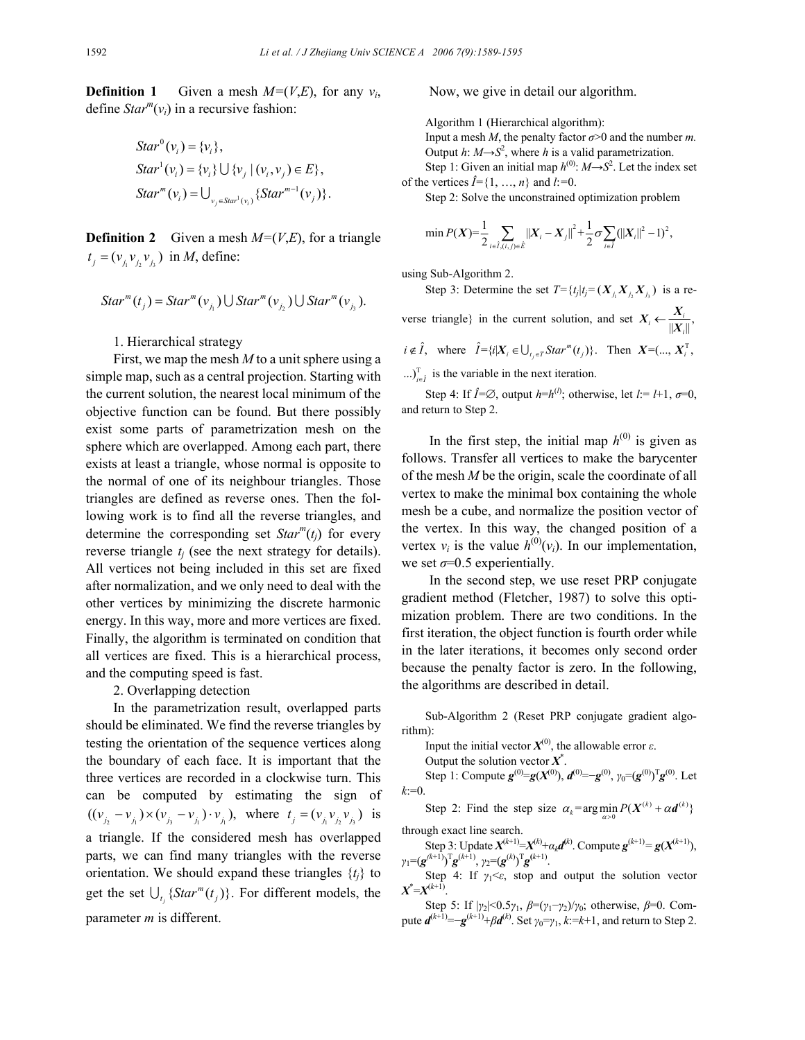**Definition 1** Given a mesh  $M=(V,E)$ , for any  $v_i$ , define  $Star^{m}(v_i)$  in a recursive fashion:

$$
Star^{0}(v_i) = \{v_i\},
$$
  
\n
$$
Star^{1}(v_i) = \{v_i\} \cup \{v_j | (v_i, v_j) \in E\},
$$
  
\n
$$
Star^{m}(v_i) = \bigcup_{v_j \in Star^{1}(v_i)} \{Star^{m-1}(v_j)\}.
$$

**Definition 2** Given a mesh  $M=(V,E)$ , for a triangle  $t_i = (v_i v_j, v_j)$  in *M*, define:

$$
Star^{m}(t_j) = Star^{m}(v_{j_1}) \cup Star^{m}(v_{j_2}) \cup Star^{m}(v_{j_3}).
$$

1. Hierarchical strategy

First, we map the mesh *M* to a unit sphere using a simple map, such as a central projection. Starting with the current solution, the nearest local minimum of the objective function can be found. But there possibly exist some parts of parametrization mesh on the sphere which are overlapped. Among each part, there exists at least a triangle, whose normal is opposite to the normal of one of its neighbour triangles. Those triangles are defined as reverse ones. Then the following work is to find all the reverse triangles, and determine the corresponding set  $Star^{m}(t_i)$  for every reverse triangle  $t_i$  (see the next strategy for details). All vertices not being included in this set are fixed after normalization, and we only need to deal with the other vertices by minimizing the discrete harmonic energy. In this way, more and more vertices are fixed. Finally, the algorithm is terminated on condition that all vertices are fixed. This is a hierarchical process, and the computing speed is fast.

2. Overlapping detection

In the parametrization result, overlapped parts should be eliminated. We find the reverse triangles by testing the orientation of the sequence vertices along the boundary of each face. It is important that the three vertices are recorded in a clockwise turn. This can be computed by estimating the sign of  $((v_{j_2} - v_{j_1}) \times (v_{j_3} - v_{j_1}) \cdot v_{j_1}),$  where  $t_j = (v_{j_1} v_{j_2} v_{j_3})$  is a triangle. If the considered mesh has overlapped parts, we can find many triangles with the reverse orientation. We should expand these triangles  $\{t_i\}$  to get the set  $\bigcup_{t_j} \{Star^m(t_j)\}$ . For different models, the parameter *m* is different.

Now, we give in detail our algorithm.

Algorithm 1 (Hierarchical algorithm):

Input a mesh *M*, the penalty factor  $\sigma > 0$  and the number *m*. Output  $h: M \rightarrow S^2$ , where  $h$  is a valid parametrization. Step 1: Given an initial map  $h^{(0)}$ :  $M \rightarrow S^2$ . Let the index set of the vertices  $\hat{I} = \{1, ..., n\}$  and  $l := 0$ .

Step 2: Solve the unconstrained optimization problem

$$
\min P(X) = \frac{1}{2} \sum_{i \in \hat{I}, (i,j) \in \hat{E}} ||X_i - X_j||^2 + \frac{1}{2} \sigma \sum_{i \in \hat{I}} (||X_i||^2 - 1)^2,
$$

using Sub-Algorithm 2.

Step 3: Determine the set  $T = \{t_j | t_j = (X_i, X_j, X_j) \}$  is a reverse triangle} in the current solution, and set  $X_i \leftarrow \frac{X_i}{\|X_i\|}$ ,  $X_i \leftarrow \frac{X}{\|X\|}$  $i \notin \hat{I}$ , where  $\hat{I} = \{i | X_i \in \bigcup_{t_i \in T} Star^m(t_j)\}\$ . Then  $X = (\dots, X_i^T)$ ...) $_{i \in \hat{I}}^T$  is the variable in the next iteration.

Step 4: If  $\hat{I} = \emptyset$ , output  $h=h^{(l)}$ ; otherwise, let  $l = I+1$ ,  $\sigma=0$ , and return to Step 2.

In the first step, the initial map  $h^{(0)}$  is given as follows. Transfer all vertices to make the barycenter of the mesh *M* be the origin, scale the coordinate of all vertex to make the minimal box containing the whole mesh be a cube, and normalize the position vector of the vertex. In this way, the changed position of a vertex  $v_i$  is the value  $h^{(0)}(v_i)$ . In our implementation, we set  $\sigma$ =0.5 experientially.

In the second step, we use reset PRP conjugate gradient method (Fletcher, 1987) to solve this optimization problem. There are two conditions. In the first iteration, the object function is fourth order while in the later iterations, it becomes only second order because the penalty factor is zero. In the following, the algorithms are described in detail.

Sub-Algorithm 2 (Reset PRP conjugate gradient algorithm):

Input the initial vector  $X^{(0)}$ , the allowable error  $\varepsilon$ .

Output the solution vector  $X^*$ .

Step 1: Compute  $g^{(0)} = g(X^{(0)})$ ,  $d^{(0)} = -g^{(0)}$ ,  $\gamma_0 = (g^{(0)})^T g^{(0)}$ . Let  $k:=0$ .

Step 2: Find the step size  $\alpha_k = \arg \min_{\alpha > 0} P(X^{(k)} + \alpha \mathbf{d}^{(k)})$ through exact line search.

Step 3: Update  $X^{(k+1)} = X^{(k)} + \alpha_k d^{(k)}$ . Compute  $g^{(k+1)} = g(X^{(k+1)}),$ *γ*<sub>1</sub>=(*g*<sup>(*k*+1)</sup>)<sup>T</sup>*g*<sup>(*k*+1)</sup>, *γ*<sub>2</sub>=(*g*<sup>(*k*)</sup>)<sup>T</sup>*g*<sup>(*k*+1)</sup>.

Step 4: If  $\gamma_1 \leq \varepsilon$ , stop and output the solution vector  $X^* = X^{(k+1)}$ .

Step 5: If |*γ*2|<0.5*γ*1, *β*=(*γ*1−*γ*2)/*γ*0; otherwise, *β*=0. Compute  $d^{(k+1)} = -g^{(k+1)} + βd^{(k)}$ . Set *γ*<sub>0</sub>=*γ*<sub>1</sub>, *k*:=*k*+1, and return to Step 2.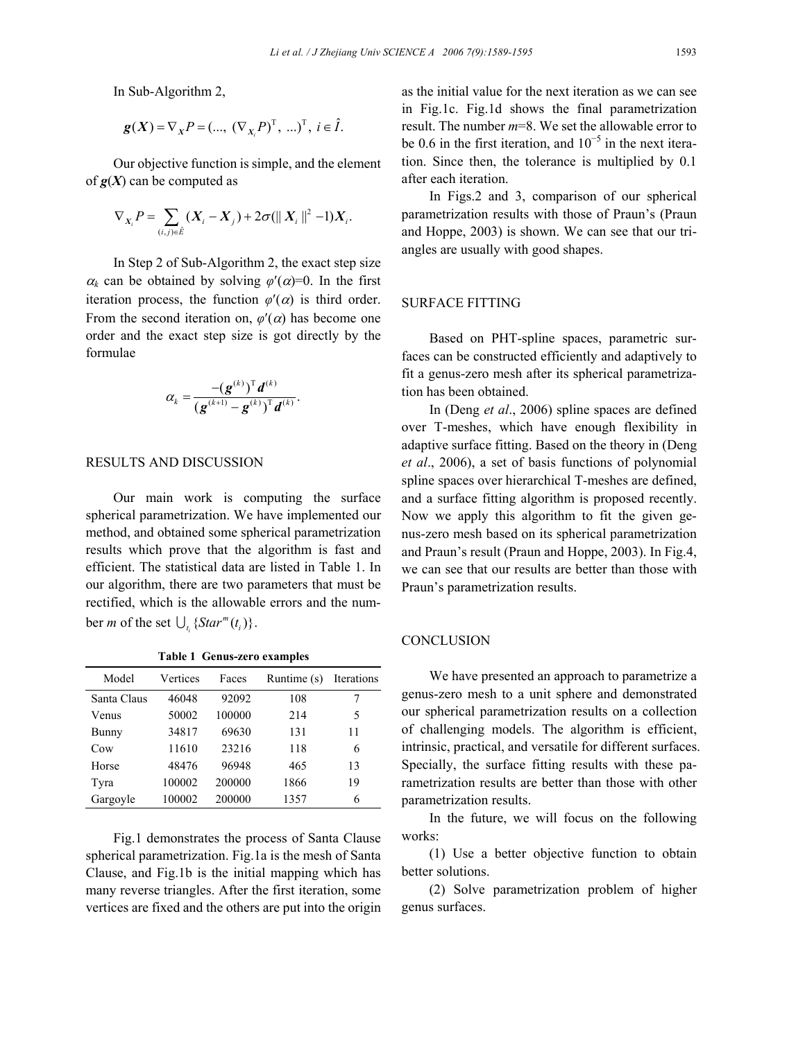In Sub-Algorithm 2,

$$
\mathbf{g}(X) = \nabla_X P = (\dots, (\nabla_{X_i} P)^T, \dots)^T, \ i \in \hat{I}.
$$

Our objective function is simple, and the element of  $g(X)$  can be computed as

$$
\nabla_{X_i} P = \sum_{(i,j) \in \hat{E}} (X_i - X_j) + 2\sigma (||X_i||^2 - 1) X_i.
$$

In Step 2 of Sub-Algorithm 2, the exact step size  $\alpha_k$  can be obtained by solving  $\varphi'(\alpha)=0$ . In the first iteration process, the function  $\varphi'(\alpha)$  is third order. From the second iteration on,  $\varphi'(\alpha)$  has become one order and the exact step size is got directly by the formulae

$$
\alpha_k = \frac{-({\boldsymbol{g}}^{(k)})^{\mathrm{T}} {\boldsymbol{d}}^{(k)}}{({\boldsymbol{g}}^{(k+1)}-{\boldsymbol{g}}^{(k)})^{\mathrm{T}} {\boldsymbol{d}}^{(k)}}.
$$

## RESULTS AND DISCUSSION

Our main work is computing the surface spherical parametrization. We have implemented our method, and obtained some spherical parametrization results which prove that the algorithm is fast and efficient. The statistical data are listed in Table 1. In our algorithm, there are two parameters that must be rectified, which is the allowable errors and the number *m* of the set  $\bigcup_{t_i} \{ Star^m(t_i) \}.$ 

| Model       | Vertices | Faces  | Runtime (s) | Iterations |
|-------------|----------|--------|-------------|------------|
| Santa Claus | 46048    | 92092  | 108         |            |
| Venus       | 50002    | 100000 | 214         | 5          |
| Bunny       | 34817    | 69630  | 131         | 11         |
| Cow         | 11610    | 23216  | 118         | 6          |
| Horse       | 48476    | 96948  | 465         | 13         |
| Tyra        | 100002   | 200000 | 1866        | 19         |
| Gargoyle    | 100002   | 200000 | 1357        | 6          |

**Table 1 Genus-zero examples** 

Fig.1 demonstrates the process of Santa Clause spherical parametrization. Fig.1a is the mesh of Santa Clause, and Fig.1b is the initial mapping which has many reverse triangles. After the first iteration, some vertices are fixed and the others are put into the origin

as the initial value for the next iteration as we can see in Fig.1c. Fig.1d shows the final parametrization result. The number *m*=8. We set the allowable error to be 0.6 in the first iteration, and  $10^{-5}$  in the next iteration. Since then, the tolerance is multiplied by 0.1 after each iteration.

In Figs.2 and 3, comparison of our spherical parametrization results with those of Praun's (Praun and Hoppe, 2003) is shown. We can see that our triangles are usually with good shapes.

# SURFACE FITTING

Based on PHT-spline spaces, parametric surfaces can be constructed efficiently and adaptively to fit a genus-zero mesh after its spherical parametrization has been obtained.

In (Deng *et al*., 2006) spline spaces are defined over T-meshes, which have enough flexibility in adaptive surface fitting. Based on the theory in (Deng *et al*., 2006), a set of basis functions of polynomial spline spaces over hierarchical T-meshes are defined, and a surface fitting algorithm is proposed recently. Now we apply this algorithm to fit the given genus-zero mesh based on its spherical parametrization and Praun's result (Praun and Hoppe, 2003). In Fig.4, we can see that our results are better than those with Praun's parametrization results.

## **CONCLUSION**

We have presented an approach to parametrize a genus-zero mesh to a unit sphere and demonstrated our spherical parametrization results on a collection of challenging models. The algorithm is efficient, intrinsic, practical, and versatile for different surfaces. Specially, the surface fitting results with these parametrization results are better than those with other parametrization results.

In the future, we will focus on the following works:

(1) Use a better objective function to obtain better solutions.

(2) Solve parametrization problem of higher genus surfaces.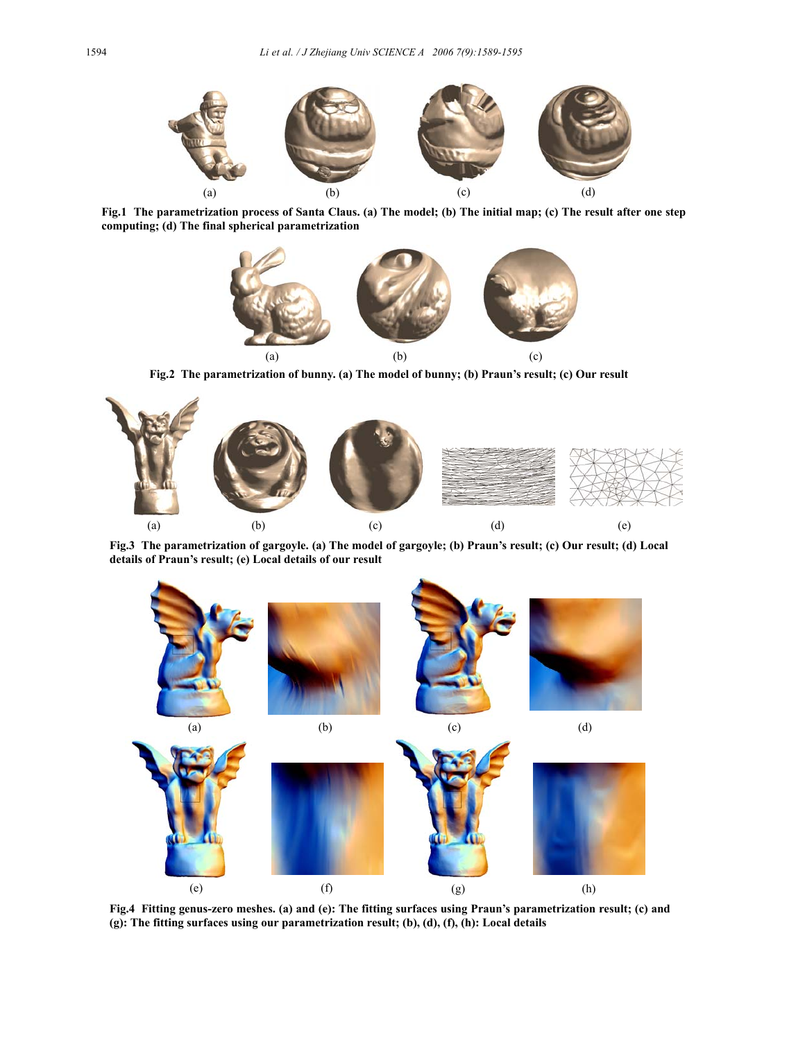

**Fig.1 The parametrization process of Santa Claus. (a) The model; (b) The initial map; (c) The result after one step computing; (d) The final spherical parametrization** 



**Fig.2 The parametrization of bunny. (a) The model of bunny; (b) Praun's result; (c) Our result** 



**Fig.3 The parametrization of gargoyle. (a) The model of gargoyle; (b) Praun's result; (c) Our result; (d) Local details of Praun's result; (e) Local details of our result** 



**Fig.4 Fitting genus-zero meshes. (a) and (e): The fitting surfaces using Praun's parametrization result; (c) and (g): The fitting surfaces using our parametrization result; (b), (d), (f), (h): Local details**